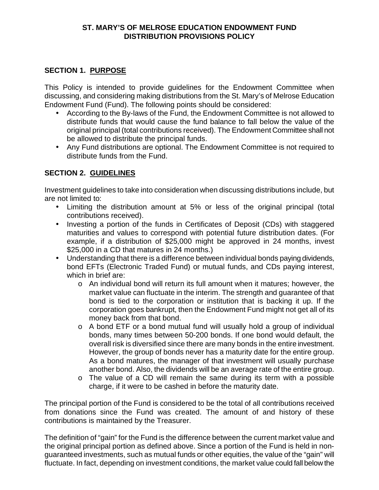## **ST. MARY'S OF MELROSE EDUCATION ENDOWMENT FUND DISTRIBUTION PROVISIONS POLICY**

## **SECTION 1. PURPOSE**

This Policy is intended to provide guidelines for the Endowment Committee when discussing, and considering making distributions from the St. Mary's of Melrose Education Endowment Fund (Fund). The following points should be considered:

- According to the By-laws of the Fund, the Endowment Committee is not allowed to distribute funds that would cause the fund balance to fall below the value of the original principal (total contributions received). The Endowment Committee shall not be allowed to distribute the principal funds.
- Any Fund distributions are optional. The Endowment Committee is not required to distribute funds from the Fund.

## **SECTION 2. GUIDELINES**

Investment guidelines to take into consideration when discussing distributions include, but are not limited to:

- Limiting the distribution amount at 5% or less of the original principal (total contributions received).
- Investing a portion of the funds in Certificates of Deposit (CDs) with staggered maturities and values to correspond with potential future distribution dates. (For example, if a distribution of \$25,000 might be approved in 24 months, invest \$25,000 in a CD that matures in 24 months.)
- Understanding that there is a difference between individual bonds paying dividends, bond EFTs (Electronic Traded Fund) or mutual funds, and CDs paying interest, which in brief are:
	- o An individual bond will return its full amount when it matures; however, the market value can fluctuate in the interim. The strength and guarantee of that bond is tied to the corporation or institution that is backing it up. If the corporation goes bankrupt, then the Endowment Fund might not get all of its money back from that bond.
	- o A bond ETF or a bond mutual fund will usually hold a group of individual bonds, many times between 50-200 bonds. If one bond would default, the overall risk is diversified since there are many bonds in the entire investment. However, the group of bonds never has a maturity date for the entire group. As a bond matures, the manager of that investment will usually purchase another bond. Also, the dividends will be an average rate of the entire group.
	- o The value of a CD will remain the same during its term with a possible charge, if it were to be cashed in before the maturity date.

The principal portion of the Fund is considered to be the total of all contributions received from donations since the Fund was created. The amount of and history of these contributions is maintained by the Treasurer.

The definition of "gain" for the Fund is the difference between the current market value and the original principal portion as defined above. Since a portion of the Fund is held in nonguaranteed investments, such as mutual funds or other equities, the value of the "gain" will fluctuate. In fact, depending on investment conditions, the market value could fall below the